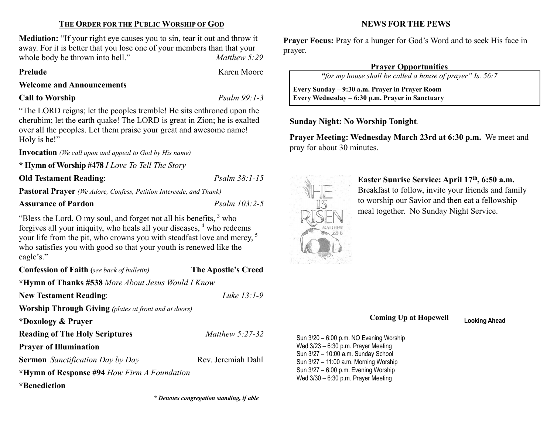## THE ORDER FOR THE PUBLIC WORSHIP OF GOD

Mediation: "If your right eye causes you to sin, tear it out and throw it away. For it is better that you lose one of your members than that your whole body be thrown into hell." Matthew 5:29

#### Prelude Karen Moore

Welcome and Announcements

#### Call to Worship Psalm 99:1-3

"The LORD reigns; let the peoples tremble! He sits enthroned upon the cherubim; let the earth quake! The LORD is great in Zion; he is exalted over all the peoples. Let them praise your great and awesome name! Holy is he!"

Invocation (We call upon and appeal to God by His name)

\* Hymn of Worship #478 I Love To Tell The Story

Old Testament Reading: Psalm 38:1-15

Pastoral Prayer (We Adore, Confess, Petition Intercede, and Thank)

# Assurance of Pardon Psalm 103:2-5

"Bless the Lord, O my soul, and forget not all his benefits,  $3$  who forgives all your iniquity, who heals all your diseases, <sup>4</sup> who redeems your life from the pit, who crowns you with steadfast love and mercy, <sup>5</sup> who satisfies you with good so that your youth is renewed like the eagle's."

New Testament Reading: Luke 13:1-9

Confession of Faith (see back of bulletin) The Apostle's Creed

\*Hymn of Thanks #538 More About Jesus Would I Know

Worship Through Giving (plates at front and at doors)

\*Doxology & Prayer

Reading of The Holy Scriptures Matthew 5:27-32

Prayer of Illumination

Sermon Sanctification Day by Day Rev. Jeremiah Dahl

\*Hymn of Response #94 How Firm A Foundation

\*Benediction

\* Denotes congregation standing, if able

## NEWS FOR THE PEWS

Prayer Focus: Pray for a hunger for God's Word and to seek His face in prayer.

## Prayer Opportunities

"for my house shall be called a house of prayer" Is. 56:7

 Every Sunday – 9:30 a.m. Prayer in Prayer Room Every Wednesday – 6:30 p.m. Prayer in Sanctuary

# Sunday Night: No Worship Tonight.

Prayer Meeting: Wednesday March 23rd at 6:30 p.m. We meet and pray for about 30 minutes.



 $\overline{\phantom{a}}$ 

Easter Sunrise Service: April 17th, 6:50 a.m. Breakfast to follow, invite your friends and family to worship our Savior and then eat a fellowship meal together. No Sunday Night Service.

# Coming Up at Hopewell Looking Ahead

Sun 3/20 – 6:00 p.m. NO Evening Worship Wed 3/23 – 6:30 p.m. Prayer Meeting Sun 3/27 – 10:00 a.m. Sunday School Sun 3/27 – 11:00 a.m. Morning Worship Sun 3/27 – 6:00 p.m. Evening Worship Wed 3/30 – 6:30 p.m. Prayer Meeting